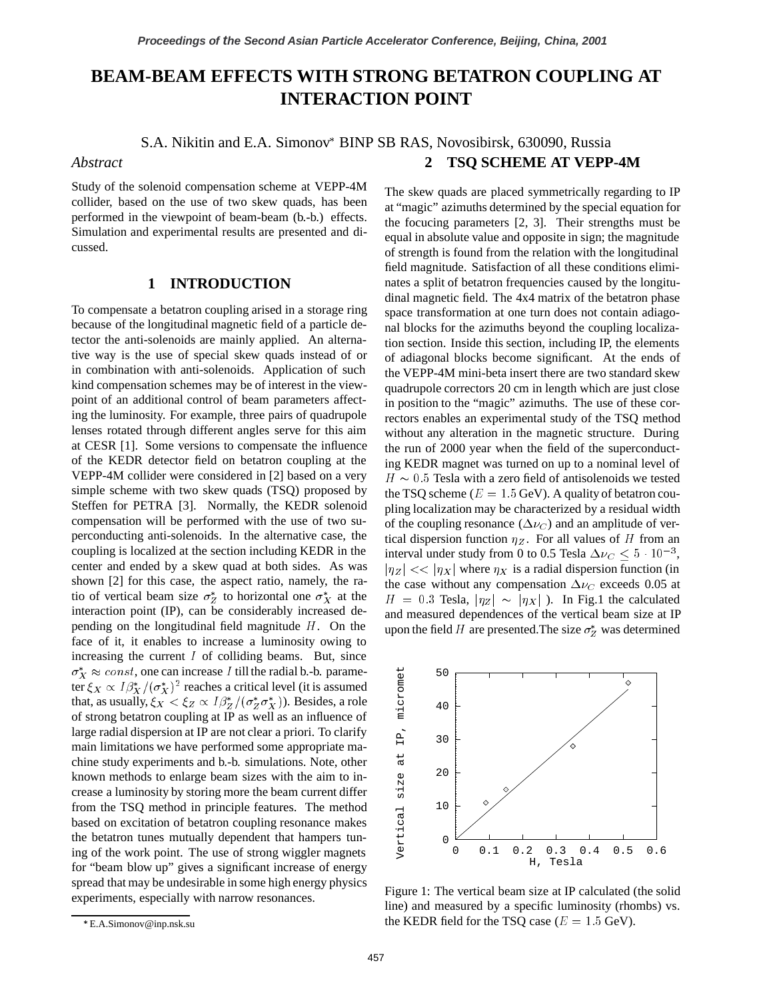# **BEAM-BEAM EFFECTS WITH STRONG BETATRON COUPLING AT INTERACTION POINT**

S.A. Nikitin and E.A. Simonov BINP SB RAS, Novosibirsk, 630090, Russia

#### *Abstract*

Study of the solenoid compensation scheme at VEPP-4M collider, based on the use of two skew quads, has been performed in the viewpoint of beam-beam (b.-b.) effects. Simulation and experimental results are presented and dicussed.

## **1 INTRODUCTION**

To compensate a betatron coupling arised in a storage ring because of the longitudinal magnetic field of a particle detector the anti-solenoids are mainly applied. An alternative way is the use of special skew quads instead of or in combination with anti-solenoids. Application of such kind compensation schemes may be of interest in the viewpoint of an additional control of beam parameters affecting the luminosity. For example, three pairs of quadrupole lenses rotated through different angles serve for this aim at CESR [1]. Some versions to compensate the influence of the KEDR detector field on betatron coupling at the VEPP-4M collider were considered in [2] based on a very simple scheme with two skew quads (TSQ) proposed by Steffen for PETRA [3]. Normally, the KEDR solenoid compensation will be performed with the use of two superconducting anti-solenoids. In the alternative case, the coupling is localized at the section including KEDR in the center and ended by a skew quad at both sides. As was shown [2] for this case, the aspect ratio, namely, the ratio of vertical beam size  $\sigma_Z^*$  to horizontal one  $\sigma_X^*$  at the interaction point (IP), can be considerably increased depending on the longitudinal field magnitude  $H$ . On the face of it, it enables to increase a luminosity owing to increasing the current  $I$  of colliding beams. But, since  $\sigma_X^* \approx const$ , one can increase I till the radial b.-b. parameter  $\xi_X \propto I \beta_X^*/(\sigma_X^*)^2$  reaches a critical level (it is assumed that, as usually,  $\xi_X < \xi_Z \propto I \beta_Z^*/(\sigma_Z^* \sigma_X^*)$ ). Besides, a role of strong betatron coupling at IP as well as an influence of large radial dispersion at IP are not clear a priori. To clarify main limitations we have performed some appropriate machine study experiments and b.-b. simulations. Note, other known methods to enlarge beam sizes with the aim to increase a luminosity by storing more the beam current differ from the TSQ method in principle features. The method based on excitation of betatron coupling resonance makes the betatron tunes mutually dependent that hampers tuning of the work point. The use of strong wiggler magnets for "beam blow up" gives a significant increase of energy spread that may be undesirable in some high energy physics experiments, especially with narrow resonances.

## **2 TSQ SCHEME AT VEPP-4M**

The skew quads are placed symmetrically regarding to IP at "magic" azimuths determined by the special equation for the focucing parameters [2, 3]. Their strengths must be equal in absolute value and opposite in sign; the magnitude of strength is found from the relation with the longitudinal field magnitude. Satisfaction of all these conditions eliminates a split of betatron frequencies caused by the longitudinal magnetic field. The 4x4 matrix of the betatron phase space transformation at one turn does not contain adiagonal blocks for the azimuths beyond the coupling localization section. Inside this section, including IP, the elements of adiagonal blocks become significant. At the ends of the VEPP-4M mini-beta insert there are two standard skew quadrupole correctors 20 cm in length which are just close in position to the "magic" azimuths. The use of these correctors enables an experimental study of the TSQ method without any alteration in the magnetic structure. During the run of 2000 year when the field of the superconducting KEDR magnet was turned on up to a nominal level of  $H \sim 0.5$  Tesla with a zero field of antisolenoids we tested the TSQ scheme ( $E = 1.5$  GeV). A quality of betatron coupling localization may be characterized by a residual width of the coupling resonance  $(\Delta \nu_C)$  and an amplitude of vertical dispersion function  $\eta_Z$ . For all values of H from an interval under study from 0 to 0.5 Tesla  $\Delta \nu_C \leq 5 \cdot 10^{-3}$ ,  $|\eta_Z| << |\eta_X|$  where  $\eta_X$  is a radial dispersion function (in the case without any compensation  $\Delta \nu_C$  exceeds 0.05 at  $H = 0.3$  Tesla,  $|\eta_Z| \sim |\eta_X|$ ). In Fig.1 the calculated and measured dependences of the vertical beam size at IP upon the field H are presented. The size  $\sigma_Z^*$  was determined



Figure 1: The vertical beam size at IP calculated (the solid line) and measured by a specific luminosity (rhombs) vs. the KEDR field for the TSQ case ( $E = 1.5$  GeV).

E.A.Simonov@inp.nsk.su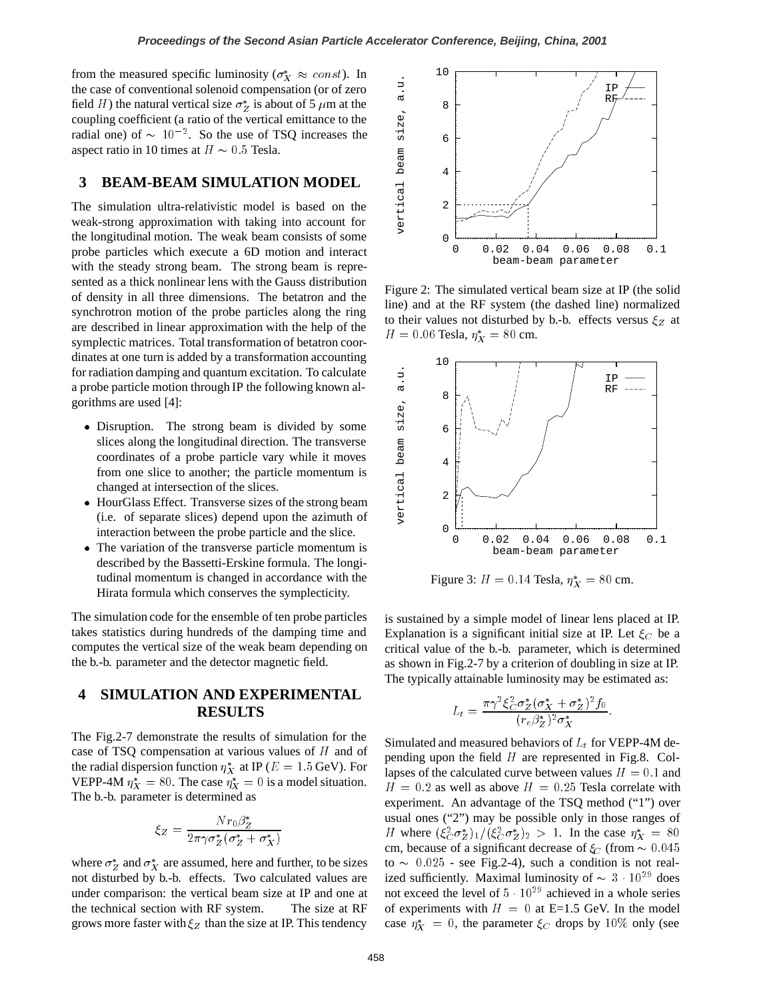from the measured specific luminosity ( $\sigma_X^* \approx const$ ). In the case of conventional solenoid compensation (or of zero field H) the natural vertical size  $\sigma_Z^*$  is about of 5  $\mu$ m at the coupling coefficient (a ratio of the vertical emittance to the radial one) of  $\sim 10^{-2}$ . So the use of TSQ increases the aspect ratio in 10 times at  $H \sim 0.5$  Tesla.

#### **3 BEAM-BEAM SIMULATION MODEL**

The simulation ultra-relativistic model is based on the weak-strong approximation with taking into account for the longitudinal motion. The weak beam consists of some probe particles which execute a 6D motion and interact with the steady strong beam. The strong beam is represented as a thick nonlinear lens with the Gauss distribution of density in all three dimensions. The betatron and the synchrotron motion of the probe particles along the ring are described in linear approximation with the help of the symplectic matrices. Total transformation of betatron coordinates at one turn is added by a transformation accounting for radiation damping and quantum excitation. To calculate a probe particle motion through IP the following known algorithms are used [4]:

- Disruption. The strong beam is divided by some slices along the longitudinal direction. The transverse coordinates of a probe particle vary while it moves from one slice to another; the particle momentum is changed at intersection of the slices.
- HourGlass Effect. Transverse sizes of the strong beam (i.e. of separate slices) depend upon the azimuth of interaction between the probe particle and the slice.
- The variation of the transverse particle momentum is described by the Bassetti-Erskine formula. The longitudinal momentum is changed in accordance with the Hirata formula which conserves the symplecticity.

The simulation code for the ensemble of ten probe particles takes statistics during hundreds of the damping time and computes the vertical size of the weak beam depending on the b.-b. parameter and the detector magnetic field.

## **4 SIMULATION AND EXPERIMENTAL RESULTS**

The Fig.2-7 demonstrate the results of simulation for the case of TSQ compensation at various values of <sup>H</sup> and of the radial dispersion function  $\eta_X^*$  at IP ( $E = 1.5$  GeV). For VEPP-4M  $\eta_X^* = 80$ . The case  $\eta_X^* = 0$  is a model situation. The b.-b. parameter is determined as

$$
\xi_Z = \frac{N r_0 \beta_Z^*}{2\pi \gamma \sigma_Z^* (\sigma_Z^* + \sigma_X^*)}
$$

where  $\sigma_Z^*$  and  $\sigma_X^*$  are assumed, here and further, to be sizes not disturbed by b.-b. effects. Two calculated values are under comparison: the vertical beam size at IP and one at the technical section with RF system. The size at RF grows more faster with  $\xi_Z$  than the size at IP. This tendency



Figure 2: The simulated vertical beam size at IP (the solid line) and at the RF system (the dashed line) normalized to their values not disturbed by b.-b. effects versus  $\xi_Z$  at  $H = 0.06$  Tesla,  $\eta_X^* = 80$  cm.



Figure 3:  $H = 0.14$  Tesla,  $\eta_X^* = 80$  cm.

is sustained by a simple model of linear lens placed at IP. Explanation is a significant initial size at IP. Let  $\xi_C$  be a critical value of the b.-b. parameter, which is determined as shown in Fig.2-7 by a criterion of doubling in size at IP. The typically attainable luminosity may be estimated as:

$$
L_t = \frac{\pi \gamma^2 \xi_C^2 \sigma_Z^* (\sigma_X^* + \sigma_Z^*)^2 f_0}{(r_e \beta_Z^*)^2 \sigma_X^*}.
$$

Simulated and measured behaviors of  $L_t$  for VEPP-4M depending upon the field  $H$  are represented in Fig.8. Collapses of the calculated curve between values  $H = 0.1$  and  $H = 0.2$  as well as above  $H = 0.25$  Tesla correlate with experiment. An advantage of the TSQ method ("1") over usual ones ("2") may be possible only in those ranges of H where  $(\xi_C^2 \sigma_Z^*)_1/(\xi_C^2 \sigma_Z^*)_2 > 1$ . In the case  $\eta_X^* = 80$ cm, because of a significant decrease of  $\xi_C$  (from  $\sim 0.045$ ) to  $\sim$  0.025 - see Fig.2-4), such a condition is not realized sufficiently. Maximal luminosity of  $\sim 3 \cdot 10^{29}$  does not exceed the level of  $5 \cdot 10^{29}$  achieved in a whole series of experiments with  $H = 0$  at E=1.5 GeV. In the model case  $\eta_X^* = 0$ , the parameter  $\xi_C$  drops by 10% only (see